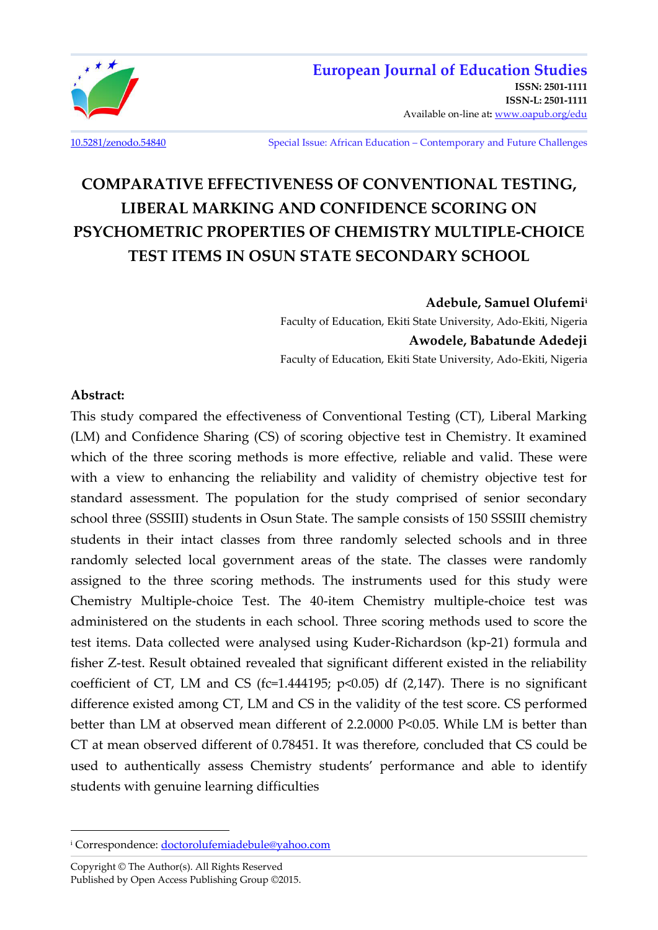

[10.5281/zenodo.54840](http://dx.doi.org/10.5281/zenodo.54840) Special Issue: African Education – Contemporary and Future Challenges

# **COMPARATIVE EFFECTIVENESS OF CONVENTIONAL TESTING, LIBERAL MARKING AND CONFIDENCE SCORING ON PSYCHOMETRIC PROPERTIES OF CHEMISTRY MULTIPLE-CHOICE TEST ITEMS IN OSUN STATE SECONDARY SCHOOL**

**Adebule, Samuel Olufemi<sup>i</sup>**

Faculty of Education, Ekiti State University, Ado-Ekiti, Nigeria **Awodele, Babatunde Adedeji**  Faculty of Education, Ekiti State University, Ado-Ekiti, Nigeria

#### **Abstract:**

l

This study compared the effectiveness of Conventional Testing (CT), Liberal Marking (LM) and Confidence Sharing (CS) of scoring objective test in Chemistry. It examined which of the three scoring methods is more effective, reliable and valid. These were with a view to enhancing the reliability and validity of chemistry objective test for standard assessment. The population for the study comprised of senior secondary school three (SSSIII) students in Osun State. The sample consists of 150 SSSIII chemistry students in their intact classes from three randomly selected schools and in three randomly selected local government areas of the state. The classes were randomly assigned to the three scoring methods. The instruments used for this study were Chemistry Multiple-choice Test. The 40-item Chemistry multiple-choice test was administered on the students in each school. Three scoring methods used to score the test items. Data collected were analysed using Kuder-Richardson (kp-21) formula and fisher Z-test. Result obtained revealed that significant different existed in the reliability coefficient of CT, LM and CS (fc=1.444195;  $p<0.05$ ) df (2,147). There is no significant difference existed among CT, LM and CS in the validity of the test score. CS performed better than LM at observed mean different of 2.2.0000 P<0.05. While LM is better than CT at mean observed different of 0.78451. It was therefore, concluded that CS could be used to authentically assess Chemistry students' performance and able to identify students with genuine learning difficulties

<sup>&</sup>lt;sup>i</sup> Correspondence: <u>doctorolufemiadebule@yahoo.com</u>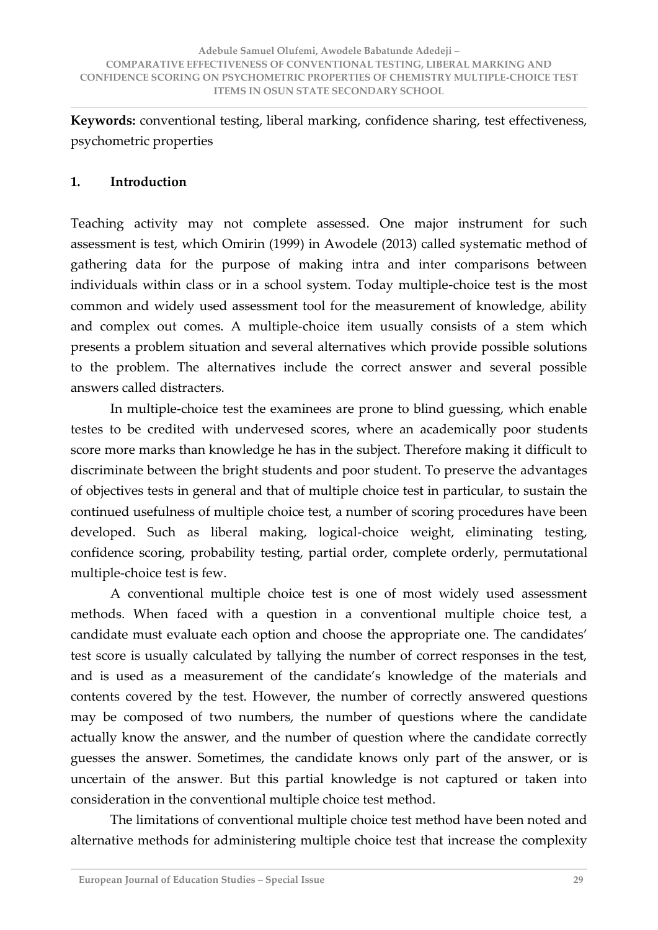**Keywords:** conventional testing, liberal marking, confidence sharing, test effectiveness, psychometric properties

# **1. Introduction**

Teaching activity may not complete assessed. One major instrument for such assessment is test, which Omirin (1999) in Awodele (2013) called systematic method of gathering data for the purpose of making intra and inter comparisons between individuals within class or in a school system. Today multiple-choice test is the most common and widely used assessment tool for the measurement of knowledge, ability and complex out comes. A multiple-choice item usually consists of a stem which presents a problem situation and several alternatives which provide possible solutions to the problem. The alternatives include the correct answer and several possible answers called distracters.

 In multiple-choice test the examinees are prone to blind guessing, which enable testes to be credited with undervesed scores, where an academically poor students score more marks than knowledge he has in the subject. Therefore making it difficult to discriminate between the bright students and poor student. To preserve the advantages of objectives tests in general and that of multiple choice test in particular, to sustain the continued usefulness of multiple choice test, a number of scoring procedures have been developed. Such as liberal making, logical-choice weight, eliminating testing, confidence scoring, probability testing, partial order, complete orderly, permutational multiple-choice test is few.

 A conventional multiple choice test is one of most widely used assessment methods. When faced with a question in a conventional multiple choice test, a candidate must evaluate each option and choose the appropriate one. The candidates' test score is usually calculated by tallying the number of correct responses in the test, and is used as a measurement of the candidate's knowledge of the materials and contents covered by the test. However, the number of correctly answered questions may be composed of two numbers, the number of questions where the candidate actually know the answer, and the number of question where the candidate correctly guesses the answer. Sometimes, the candidate knows only part of the answer, or is uncertain of the answer. But this partial knowledge is not captured or taken into consideration in the conventional multiple choice test method.

 The limitations of conventional multiple choice test method have been noted and alternative methods for administering multiple choice test that increase the complexity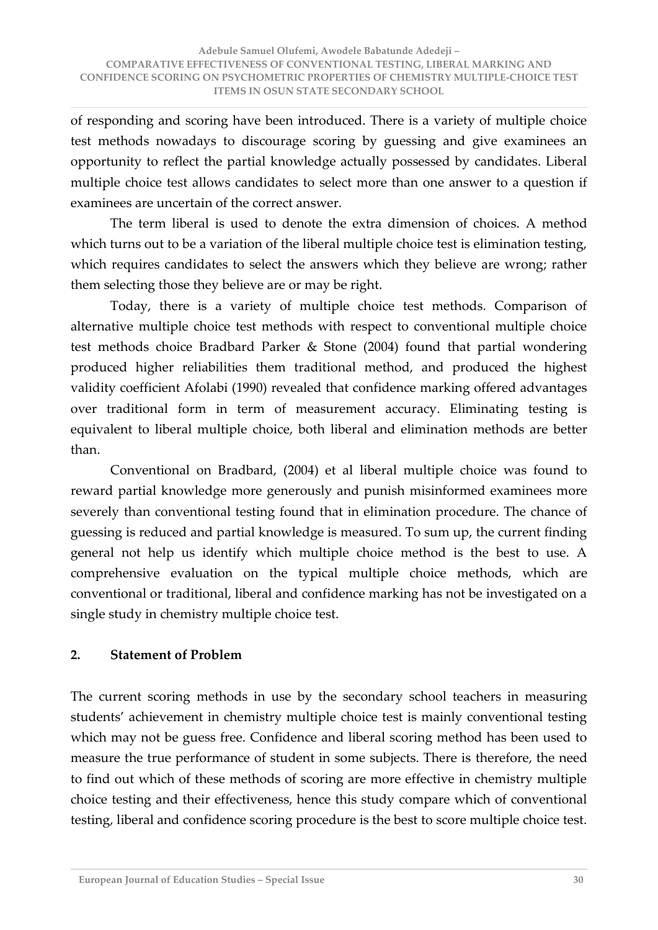of responding and scoring have been introduced. There is a variety of multiple choice test methods nowadays to discourage scoring by guessing and give examinees an opportunity to reflect the partial knowledge actually possessed by candidates. Liberal multiple choice test allows candidates to select more than one answer to a question if examinees are uncertain of the correct answer.

 The term liberal is used to denote the extra dimension of choices. A method which turns out to be a variation of the liberal multiple choice test is elimination testing, which requires candidates to select the answers which they believe are wrong; rather them selecting those they believe are or may be right.

 Today, there is a variety of multiple choice test methods. Comparison of alternative multiple choice test methods with respect to conventional multiple choice test methods choice Bradbard Parker & Stone (2004) found that partial wondering produced higher reliabilities them traditional method, and produced the highest validity coefficient Afolabi (1990) revealed that confidence marking offered advantages over traditional form in term of measurement accuracy. Eliminating testing is equivalent to liberal multiple choice, both liberal and elimination methods are better than.

 Conventional on Bradbard, (2004) et al liberal multiple choice was found to reward partial knowledge more generously and punish misinformed examinees more severely than conventional testing found that in elimination procedure. The chance of guessing is reduced and partial knowledge is measured. To sum up, the current finding general not help us identify which multiple choice method is the best to use. A comprehensive evaluation on the typical multiple choice methods, which are conventional or traditional, liberal and confidence marking has not be investigated on a single study in chemistry multiple choice test.

# **2. Statement of Problem**

The current scoring methods in use by the secondary school teachers in measuring students' achievement in chemistry multiple choice test is mainly conventional testing which may not be guess free. Confidence and liberal scoring method has been used to measure the true performance of student in some subjects. There is therefore, the need to find out which of these methods of scoring are more effective in chemistry multiple choice testing and their effectiveness, hence this study compare which of conventional testing, liberal and confidence scoring procedure is the best to score multiple choice test.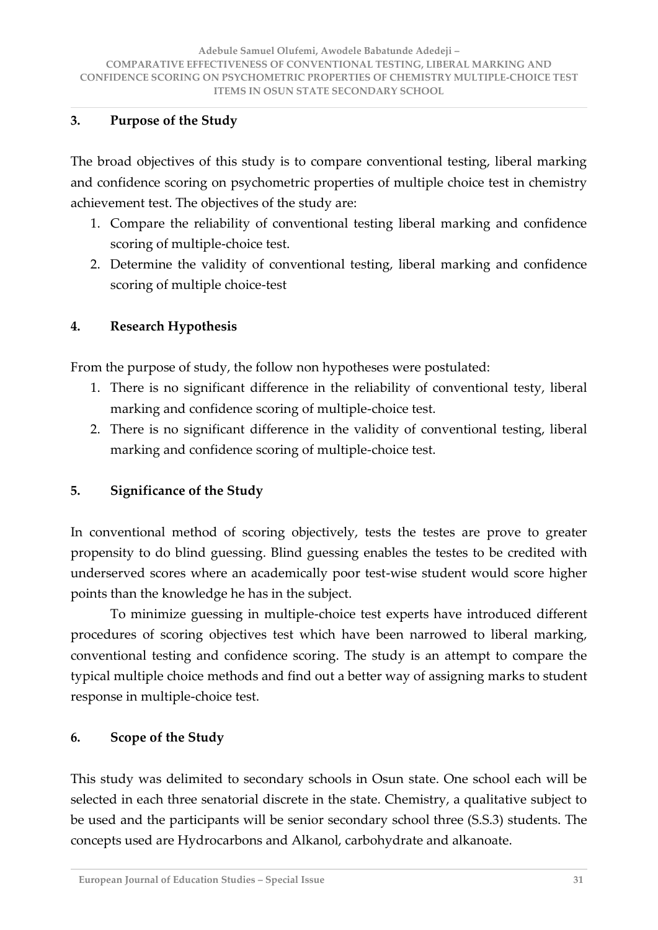### **3. Purpose of the Study**

The broad objectives of this study is to compare conventional testing, liberal marking and confidence scoring on psychometric properties of multiple choice test in chemistry achievement test. The objectives of the study are:

- 1. Compare the reliability of conventional testing liberal marking and confidence scoring of multiple-choice test.
- 2. Determine the validity of conventional testing, liberal marking and confidence scoring of multiple choice-test

# **4. Research Hypothesis**

From the purpose of study, the follow non hypotheses were postulated:

- 1. There is no significant difference in the reliability of conventional testy, liberal marking and confidence scoring of multiple-choice test.
- 2. There is no significant difference in the validity of conventional testing, liberal marking and confidence scoring of multiple-choice test.

# **5. Significance of the Study**

In conventional method of scoring objectively, tests the testes are prove to greater propensity to do blind guessing. Blind guessing enables the testes to be credited with underserved scores where an academically poor test-wise student would score higher points than the knowledge he has in the subject.

 To minimize guessing in multiple-choice test experts have introduced different procedures of scoring objectives test which have been narrowed to liberal marking, conventional testing and confidence scoring. The study is an attempt to compare the typical multiple choice methods and find out a better way of assigning marks to student response in multiple-choice test.

# **6. Scope of the Study**

This study was delimited to secondary schools in Osun state. One school each will be selected in each three senatorial discrete in the state. Chemistry, a qualitative subject to be used and the participants will be senior secondary school three (S.S.3) students. The concepts used are Hydrocarbons and Alkanol, carbohydrate and alkanoate.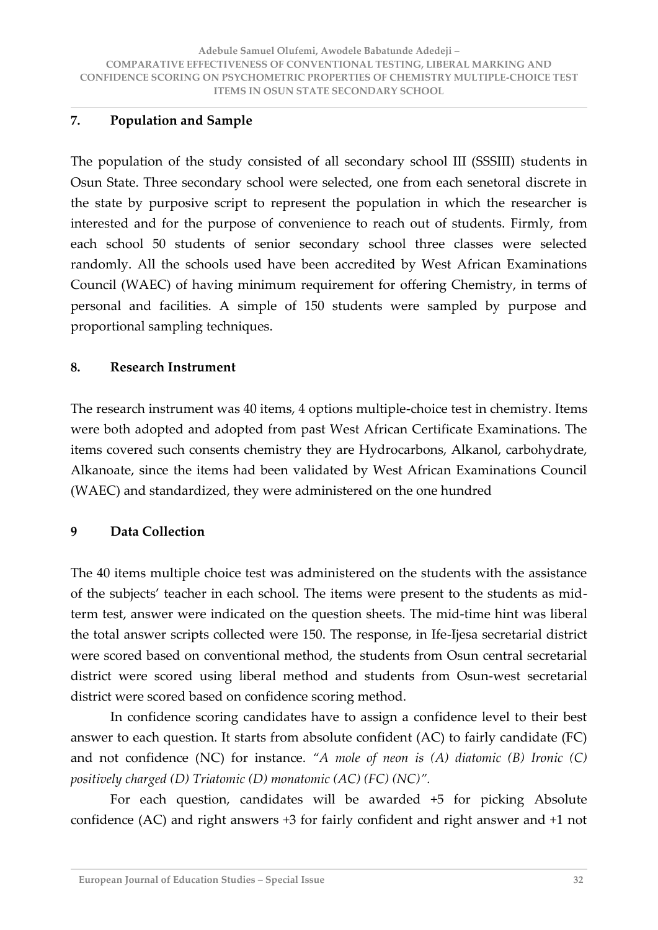# **7. Population and Sample**

The population of the study consisted of all secondary school III (SSSIII) students in Osun State. Three secondary school were selected, one from each senetoral discrete in the state by purposive script to represent the population in which the researcher is interested and for the purpose of convenience to reach out of students. Firmly, from each school 50 students of senior secondary school three classes were selected randomly. All the schools used have been accredited by West African Examinations Council (WAEC) of having minimum requirement for offering Chemistry, in terms of personal and facilities. A simple of 150 students were sampled by purpose and proportional sampling techniques.

#### **8. Research Instrument**

The research instrument was 40 items, 4 options multiple-choice test in chemistry. Items were both adopted and adopted from past West African Certificate Examinations. The items covered such consents chemistry they are Hydrocarbons, Alkanol, carbohydrate, Alkanoate, since the items had been validated by West African Examinations Council (WAEC) and standardized, they were administered on the one hundred

# **9 Data Collection**

The 40 items multiple choice test was administered on the students with the assistance of the subjects' teacher in each school. The items were present to the students as midterm test, answer were indicated on the question sheets. The mid-time hint was liberal the total answer scripts collected were 150. The response, in Ife-Ijesa secretarial district were scored based on conventional method, the students from Osun central secretarial district were scored using liberal method and students from Osun-west secretarial district were scored based on confidence scoring method.

 In confidence scoring candidates have to assign a confidence level to their best answer to each question. It starts from absolute confident (AC) to fairly candidate (FC) and not confidence (NC) for instance. "A mole of neon is (A) diatomic (B) Ironic (C) *positively charged (D) Triatomic (D) monatomic (AC) (FC) (NC)<sup><i>n*</sup>.

 For each question, candidates will be awarded +5 for picking Absolute confidence (AC) and right answers +3 for fairly confident and right answer and +1 not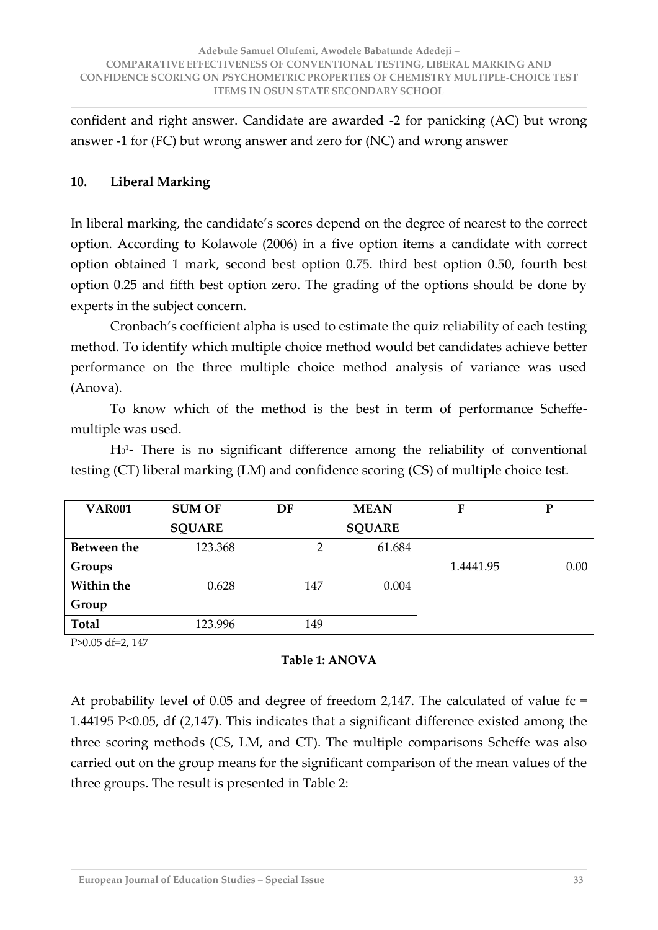confident and right answer. Candidate are awarded -2 for panicking (AC) but wrong answer -1 for (FC) but wrong answer and zero for (NC) and wrong answer

# **10. Liberal Marking**

In liberal marking, the candidate's scores depend on the degree of nearest to the correct option. According to Kolawole (2006) in a five option items a candidate with correct option obtained 1 mark, second best option 0.75. third best option 0.50, fourth best option 0.25 and fifth best option zero. The grading of the options should be done by experts in the subject concern.

Cronbach's coefficient alpha is used to estimate the quiz reliability of each testing method. To identify which multiple choice method would bet candidates achieve better performance on the three multiple choice method analysis of variance was used (Anova).

 To know which of the method is the best in term of performance Scheffemultiple was used.

 $H<sub>0</sub><sup>1</sup>$  There is no significant difference among the reliability of conventional testing (CT) liberal marking (LM) and confidence scoring (CS) of multiple choice test.

| <b>VAR001</b> | <b>SUM OF</b> | DF  | <b>MEAN</b>   | F         | P    |
|---------------|---------------|-----|---------------|-----------|------|
|               | <b>SQUARE</b> |     | <b>SQUARE</b> |           |      |
| Between the   | 123.368       | 2   | 61.684        |           |      |
| Groups        |               |     |               | 1.4441.95 | 0.00 |
| Within the    | 0.628         | 147 | 0.004         |           |      |
| Group         |               |     |               |           |      |
| <b>Total</b>  | 123.996       | 149 |               |           |      |

P>0.05 df=2, 147

# **Table 1: ANOVA**

At probability level of 0.05 and degree of freedom 2,147. The calculated of value fc = 1.44195 P<0.05, df (2,147). This indicates that a significant difference existed among the three scoring methods (CS, LM, and CT). The multiple comparisons Scheffe was also carried out on the group means for the significant comparison of the mean values of the three groups. The result is presented in Table 2: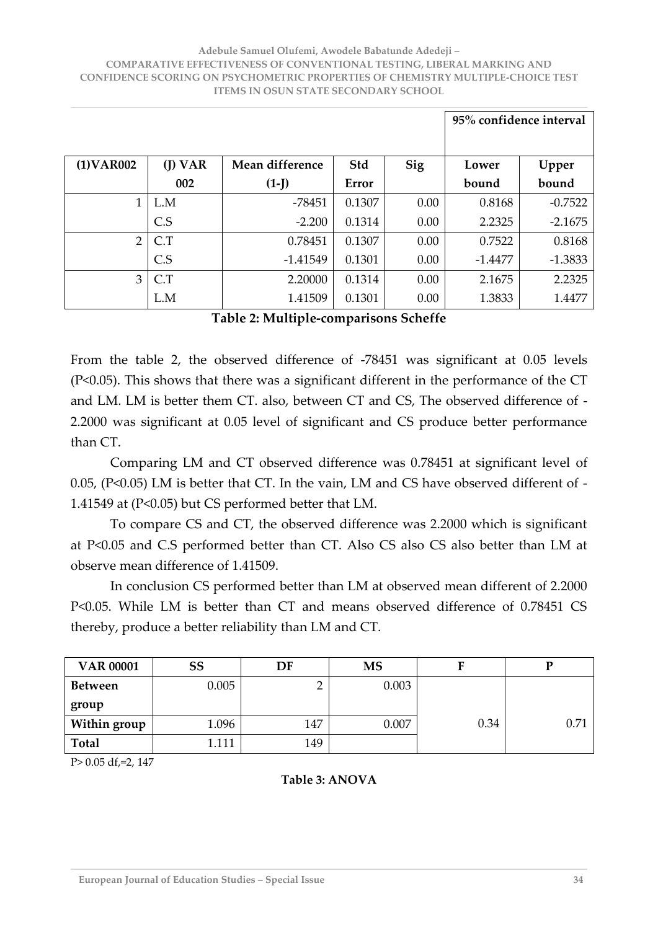#### **Adebule Samuel Olufemi, Awodele Babatunde Adedeji – COMPARATIVE EFFECTIVENESS OF CONVENTIONAL TESTING, LIBERAL MARKING AND CONFIDENCE SCORING ON PSYCHOMETRIC PROPERTIES OF CHEMISTRY MULTIPLE-CHOICE TEST ITEMS IN OSUN STATE SECONDARY SCHOOL**

|                |           |                 |        |            | 95% confidence interval |           |  |
|----------------|-----------|-----------------|--------|------------|-------------------------|-----------|--|
| (1) VAR002     | $(I)$ VAR | Mean difference | Std    | <b>Sig</b> | Lower                   | Upper     |  |
|                | 002       | $(1-J)$         | Error  |            | bound                   | bound     |  |
| $\mathbf{1}$   | L.M       | $-78451$        | 0.1307 | 0.00       | 0.8168                  | $-0.7522$ |  |
|                | C.S       | $-2.200$        | 0.1314 | 0.00       | 2.2325                  | $-2.1675$ |  |
| $\overline{2}$ | C.T       | 0.78451         | 0.1307 | 0.00       | 0.7522                  | 0.8168    |  |
|                | C.S       | $-1.41549$      | 0.1301 | 0.00       | $-1.4477$               | $-1.3833$ |  |
| 3              | C.T       | 2.20000         | 0.1314 | 0.00       | 2.1675                  | 2.2325    |  |
|                | L.M       | 1.41509         | 0.1301 | 0.00       | 1.3833                  | 1.4477    |  |

#### **Table 2: Multiple-comparisons Scheffe**

From the table 2, the observed difference of -78451 was significant at 0.05 levels (P<0.05). This shows that there was a significant different in the performance of the CT and LM. LM is better them CT. also, between CT and CS, The observed difference of - 2.2000 was significant at 0.05 level of significant and CS produce better performance than CT.

 Comparing LM and CT observed difference was 0.78451 at significant level of 0.05, (P<0.05) LM is better that CT. In the vain, LM and CS have observed different of - 1.41549 at (P<0.05) but CS performed better that LM.

 To compare CS and CT, the observed difference was 2.2000 which is significant at P<0.05 and C.S performed better than CT. Also CS also CS also better than LM at observe mean difference of 1.41509.

 In conclusion CS performed better than LM at observed mean different of 2.2000 P<0.05. While LM is better than CT and means observed difference of 0.78451 CS thereby, produce a better reliability than LM and CT.

| <b>VAR 00001</b> | SS    | DF  | <b>MS</b> | ŀ    |      |
|------------------|-------|-----|-----------|------|------|
| Between          | 0.005 |     | 0.003     |      |      |
| group            |       |     |           |      |      |
| Within group     | 1.096 | 147 | 0.007     | 0.34 | 0.71 |
| <b>Total</b>     | 1.111 | 149 |           |      |      |

P> 0.05 df,=2, 147

#### **Table 3: ANOVA**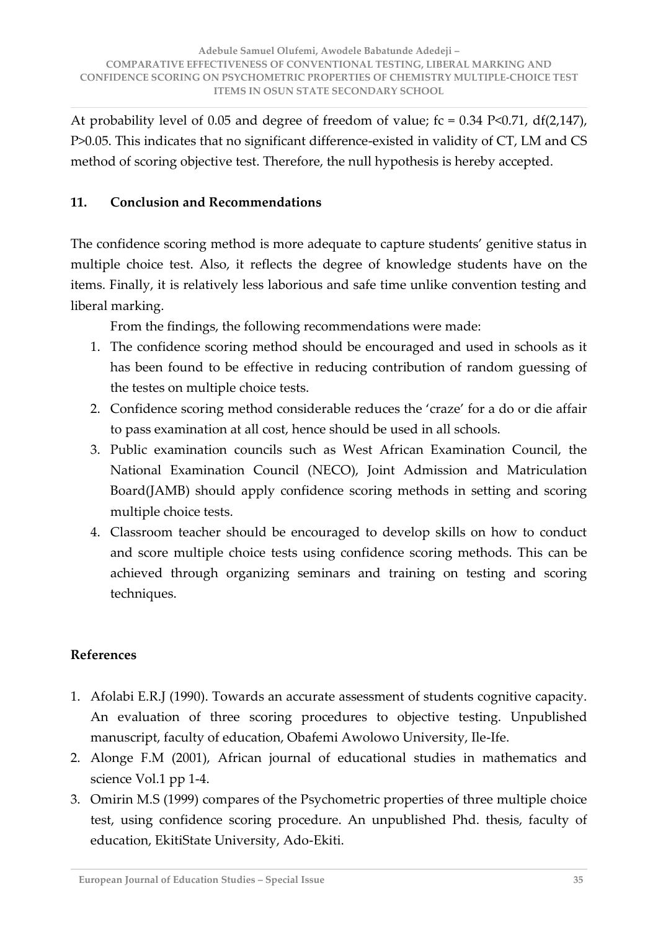At probability level of 0.05 and degree of freedom of value;  $fc = 0.34$  P<0.71, df(2,147), P>0.05. This indicates that no significant difference-existed in validity of CT, LM and CS method of scoring objective test. Therefore, the null hypothesis is hereby accepted.

# **11. Conclusion and Recommendations**

The confidence scoring method is more adequate to capture students' genitive status in multiple choice test. Also, it reflects the degree of knowledge students have on the items. Finally, it is relatively less laborious and safe time unlike convention testing and liberal marking.

From the findings, the following recommendations were made:

- 1. The confidence scoring method should be encouraged and used in schools as it has been found to be effective in reducing contribution of random guessing of the testes on multiple choice tests.
- 2. Confidence scoring method considerable reduces the 'craze' for a do or die affair to pass examination at all cost, hence should be used in all schools.
- 3. Public examination councils such as West African Examination Council, the National Examination Council (NECO), Joint Admission and Matriculation Board(JAMB) should apply confidence scoring methods in setting and scoring multiple choice tests.
- 4. Classroom teacher should be encouraged to develop skills on how to conduct and score multiple choice tests using confidence scoring methods. This can be achieved through organizing seminars and training on testing and scoring techniques.

# **References**

- 1. Afolabi E.R.J (1990). Towards an accurate assessment of students cognitive capacity. An evaluation of three scoring procedures to objective testing. Unpublished manuscript, faculty of education, Obafemi Awolowo University, Ile-Ife.
- 2. Alonge F.M (2001), African journal of educational studies in mathematics and science Vol.1 pp 1-4.
- 3. Omirin M.S (1999) compares of the Psychometric properties of three multiple choice test, using confidence scoring procedure. An unpublished Phd. thesis, faculty of education, EkitiState University, Ado-Ekiti.